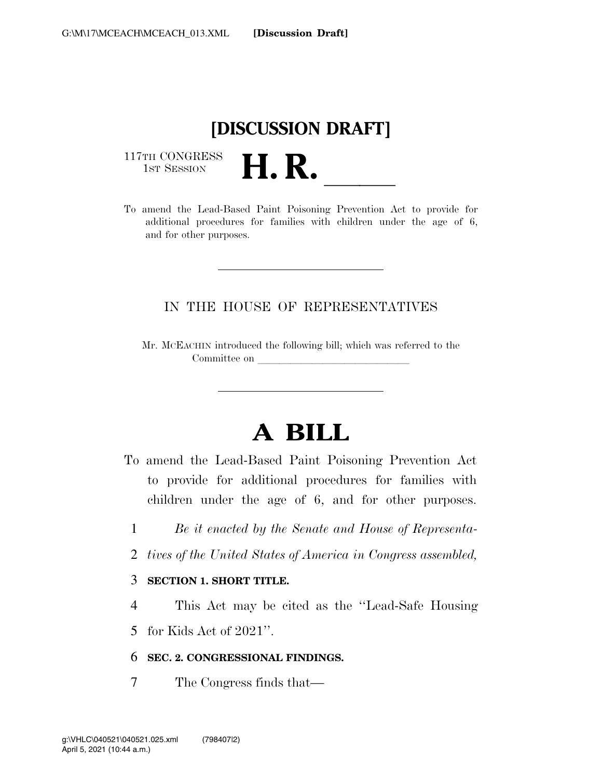

117TH CONGRESS<br>1st Session



### IN THE HOUSE OF REPRESENTATIVES

Mr. MCEACHIN introduced the following bill; which was referred to the Committee on

# **A BILL**

- To amend the Lead-Based Paint Poisoning Prevention Act to provide for additional procedures for families with children under the age of 6, and for other purposes.
	- 1 *Be it enacted by the Senate and House of Representa-*
	- 2 *tives of the United States of America in Congress assembled,*

#### 3 **SECTION 1. SHORT TITLE.**

4 This Act may be cited as the ''Lead-Safe Housing

5 for Kids Act of 2021''.

#### 6 **SEC. 2. CONGRESSIONAL FINDINGS.**

7 The Congress finds that—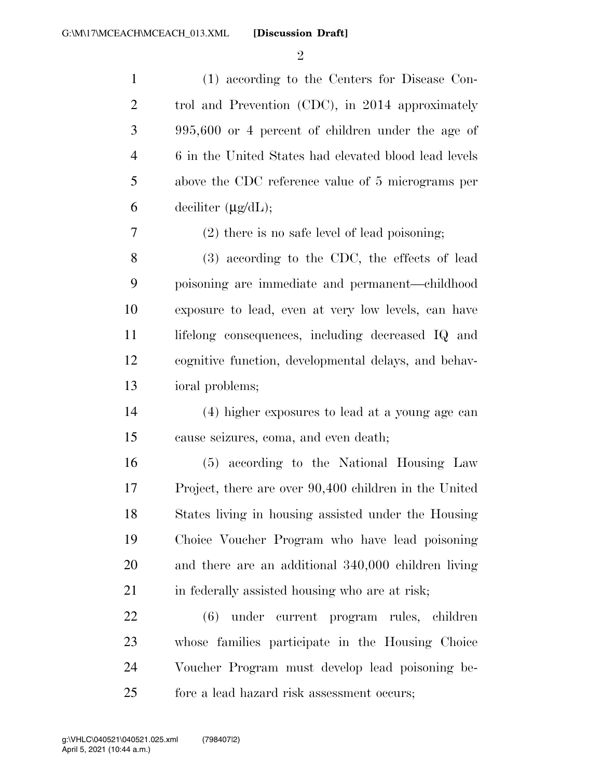$\mathfrak{D}$ 

 (1) according to the Centers for Disease Con- trol and Prevention (CDC), in 2014 approximately 995,600 or 4 percent of children under the age of 6 in the United States had elevated blood lead levels above the CDC reference value of 5 micrograms per 6 deciliter  $(\mu \mathbf{g}/d\mathbf{L});$ 

(2) there is no safe level of lead poisoning;

 (3) according to the CDC, the effects of lead poisoning are immediate and permanent—childhood exposure to lead, even at very low levels, can have lifelong consequences, including decreased IQ and cognitive function, developmental delays, and behav-ioral problems;

 (4) higher exposures to lead at a young age can cause seizures, coma, and even death;

 (5) according to the National Housing Law Project, there are over 90,400 children in the United States living in housing assisted under the Housing Choice Voucher Program who have lead poisoning and there are an additional 340,000 children living 21 in federally assisted housing who are at risk;

 (6) under current program rules, children whose families participate in the Housing Choice Voucher Program must develop lead poisoning be-fore a lead hazard risk assessment occurs;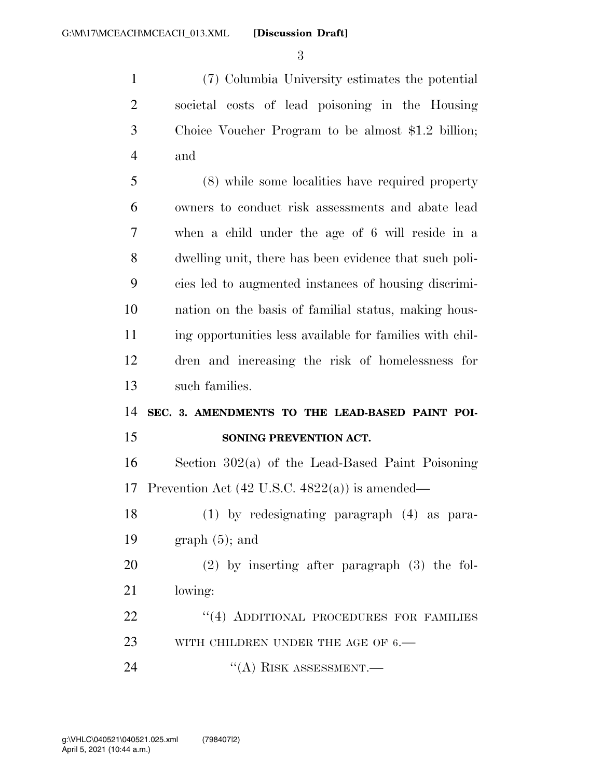(7) Columbia University estimates the potential societal costs of lead poisoning in the Housing Choice Voucher Program to be almost \$1.2 billion; and

 (8) while some localities have required property owners to conduct risk assessments and abate lead when a child under the age of 6 will reside in a dwelling unit, there has been evidence that such poli- cies led to augmented instances of housing discrimi- nation on the basis of familial status, making hous- ing opportunities less available for families with chil- dren and increasing the risk of homelessness for such families.

### **SEC. 3. AMENDMENTS TO THE LEAD-BASED PAINT POI-SONING PREVENTION ACT.**

 Section 302(a) of the Lead-Based Paint Poisoning 17 Prevention Act  $(42 \text{ U.S.C. } 4822(a))$  is amended—

 (1) by redesignating paragraph (4) as para-19 graph  $(5)$ ; and

 (2) by inserting after paragraph (3) the fol-lowing:

22 "(4) ADDITIONAL PROCEDURES FOR FAMILIES 23 WITH CHILDREN UNDER THE AGE OF 6.—

24 "(A) RISK ASSESSMENT.—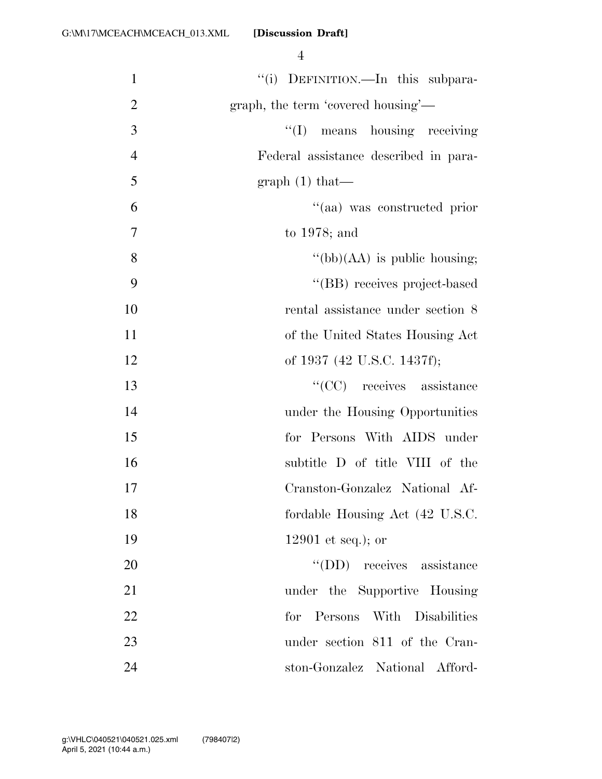| $\mathbf{1}$   | "(i) DEFINITION.—In this subpara-     |
|----------------|---------------------------------------|
| $\overline{2}$ | graph, the term 'covered housing'—    |
| 3              | "(I) means housing receiving          |
| $\overline{4}$ | Federal assistance described in para- |
| 5              | graph $(1)$ that—                     |
| 6              | "(aa) was constructed prior           |
| $\overline{7}$ | to $1978$ ; and                       |
| 8              | $\lq\lq(bb)(AA)$ is public housing;   |
| 9              | "(BB) receives project-based          |
| 10             | rental assistance under section 8     |
| 11             | of the United States Housing Act      |
| 12             | of 1937 (42 U.S.C. 1437f);            |
| 13             | "(CC) receives assistance             |
| 14             | under the Housing Opportunities       |
| 15             | for Persons With AIDS under           |
| 16             | subtitle D of title VIII of the       |
| 17             | Cranston-Gonzalez National Af-        |
| 18             | fordable Housing Act (42 U.S.C.       |
| 19             | 12901 et seq.); or                    |
| 20             | "(DD) receives assistance             |
| 21             | under the Supportive Housing          |
| 22             | for Persons With Disabilities         |
| 23             | under section 811 of the Cran-        |
| 24             | ston-Gonzalez National Afford-        |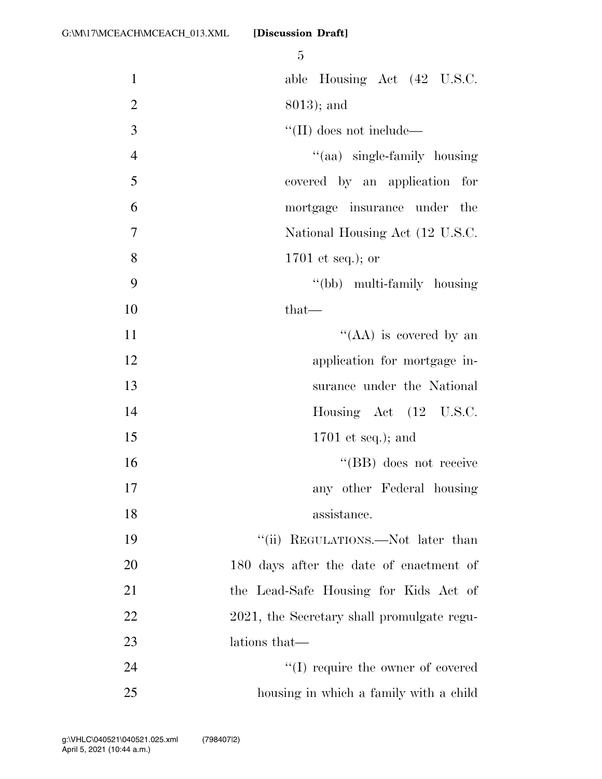|                | 5                                          |
|----------------|--------------------------------------------|
| $\mathbf{1}$   | able Housing Act (42 U.S.C.                |
| $\mathbf{2}$   | $8013$ ; and                               |
| $\overline{3}$ | $\lq\lq$ (II) does not include—            |
| $\overline{4}$ | "(aa) single-family housing                |
| 5              | covered by an application for              |
| 6              | mortgage insurance under the               |
| $\overline{7}$ | National Housing Act (12 U.S.C.            |
| 8              | $1701$ et seq.); or                        |
| 9              | "(bb) multi-family housing                 |
| 10             | $that-$                                    |
| 11             | "(AA) is covered by an                     |
| 12             | application for mortgage in-               |
| 13             | surance under the National                 |
| 14             | Housing Act (12 U.S.C.                     |
| 15             | $1701$ et seq.); and                       |
| 16             | "(BB) does not receive                     |
| 17             | any other Federal housing                  |
| 18             | assistance.                                |
| 19             | "(ii) REGULATIONS.—Not later than          |
| 20             | 180 days after the date of enactment of    |
| 21             | the Lead-Safe Housing for Kids Act of      |
| 22             | 2021, the Secretary shall promulgate regu- |
| 23             | lations that—                              |
| 24             | $\lq\lq$ (I) require the owner of covered  |
| 25             | housing in which a family with a child     |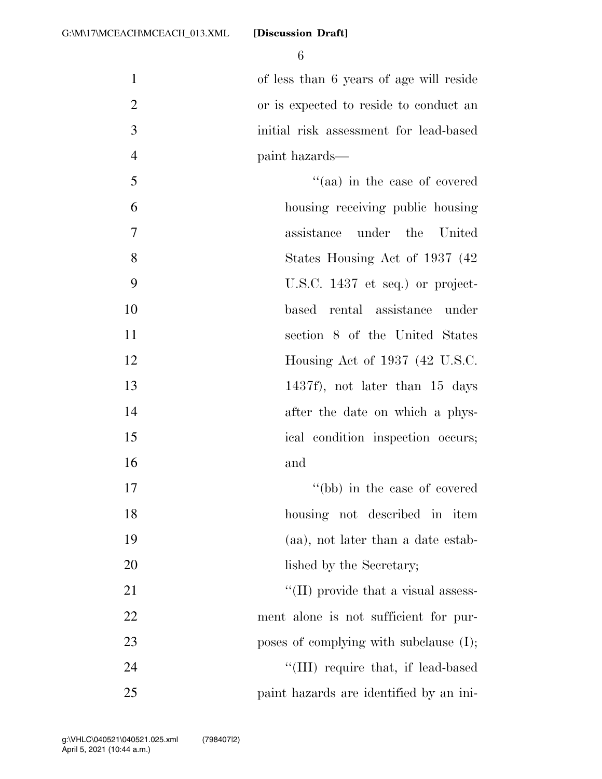6

 of less than 6 years of age will reside or is expected to reside to conduct an initial risk assessment for lead-based paint hazards—

- 5 ''(aa) in the case of covered 6 housing receiving public housing 7 assistance under the United 8 States Housing Act of 1937 (42) 9 U.S.C. 1437 et seq.) or project-10 based rental assistance under 11 section 8 of the United States 12 **Housing Act of 1937 (42 U.S.C.**) 13 1437f), not later than 15 days 14 after the date on which a phys-15 ical condition inspection occurs; 16 and 17 ''(bb) in the case of covered 18 housing not described in item
- 19 (aa), not later than a date estab-20 lished by the Secretary;

21  $\frac{1}{2}$  (II) provide that a visual assess-22 ment alone is not sufficient for pur-23 poses of complying with subclause (I); 24 ''(III) require that, if lead-based 25 paint hazards are identified by an ini-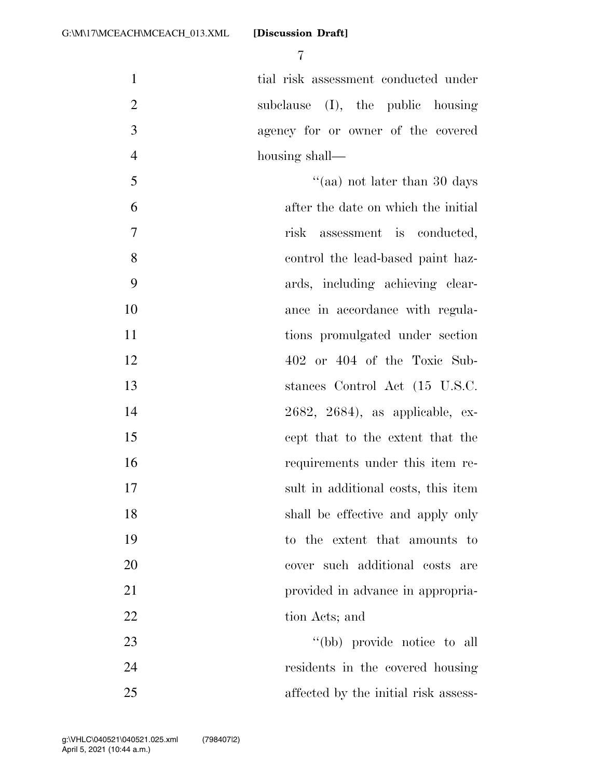tial risk assessment conducted under subclause (I), the public housing agency for or owner of the covered housing shall—

 $\frac{30}{2}$   $\frac{1}{2}$   $\frac{1}{2}$  and  $\frac{1}{2}$  are than 30 days after the date on which the initial risk assessment is conducted, control the lead-based paint haz- ards, including achieving clear-10 ance in accordance with regula-11 tions promulgated under section 402 or 404 of the Toxic Sub- stances Control Act (15 U.S.C. 2682, 2684), as applicable, ex- cept that to the extent that the requirements under this item re- sult in additional costs, this item 18 shall be effective and apply only to the extent that amounts to cover such additional costs are **provided in advance in appropria-**22 tion Acts; and 23 ''(bb) provide notice to all

 residents in the covered housing affected by the initial risk assess-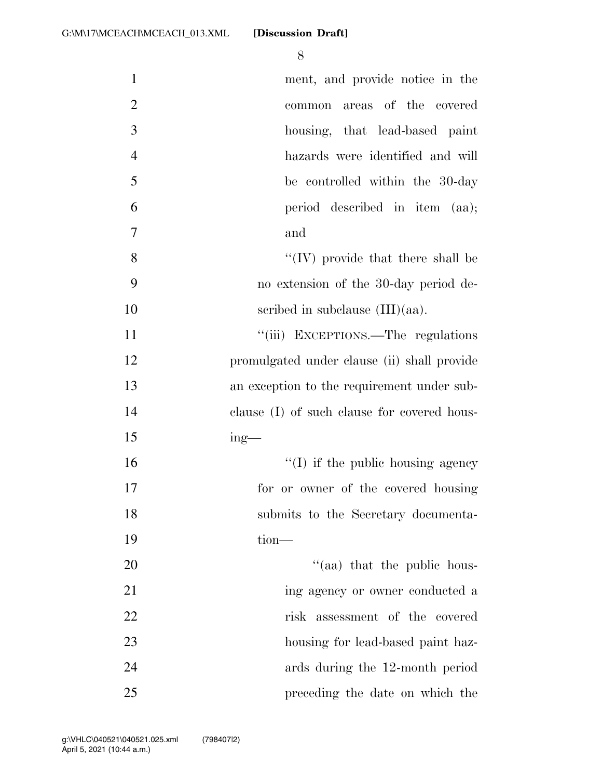| $\mathbf{1}$   | ment, and provide notice in the             |
|----------------|---------------------------------------------|
| $\overline{2}$ | areas of the covered<br>common              |
| 3              | housing, that lead-based paint              |
| $\overline{4}$ | hazards were identified and will            |
| 5              | be controlled within the 30-day             |
| 6              | period described in item (aa);              |
| 7              | and                                         |
| 8              | $\lq\lq$ (IV) provide that there shall be   |
| 9              | no extension of the 30-day period de-       |
| 10             | scribed in subclause $(III)(aa)$ .          |
| 11             | "(iii) EXCEPTIONS.—The regulations          |
| 12             | promulgated under clause (ii) shall provide |
| 13             | an exception to the requirement under sub-  |
| 14             | clause (I) of such clause for covered hous- |
| 15             | $ing$ —                                     |
| 16             | $\lq\lq$ (I) if the public housing agency   |
| 17             | for or owner of the covered housing         |
| 18             | submits to the Secretary documenta-         |
| 19             | $tion$ —                                    |
| 20             | "(aa) that the public hous-                 |
| 21             | ing agency or owner conducted a             |
| 22             | risk assessment of the covered              |
| 23             | housing for lead-based paint haz-           |
| 24             | ards during the 12-month period             |
| 25             | preceding the date on which the             |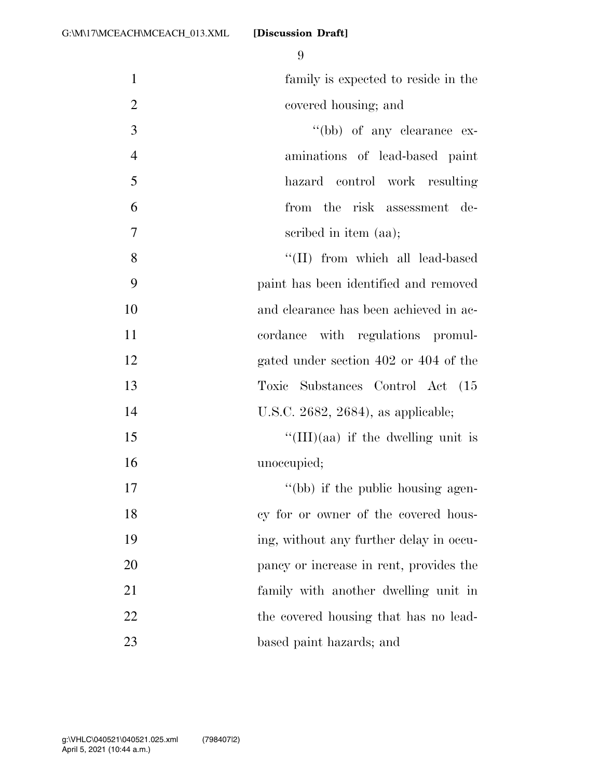| $\mathbf{1}$   | family is expected to reside in the        |
|----------------|--------------------------------------------|
| $\overline{2}$ | covered housing; and                       |
| 3              | "(bb) of any clearance ex-                 |
| $\overline{4}$ | aminations of lead-based paint             |
| 5              | hazard control work resulting              |
| 6              | from the risk assessment de-               |
| 7              | scribed in item (aa);                      |
| 8              | "(II) from which all lead-based            |
| 9              | paint has been identified and removed      |
| 10             | and clearance has been achieved in ac-     |
| 11             | cordance with regulations promul-          |
| 12             | gated under section 402 or 404 of the      |
| 13             | Substances Control Act (15<br>Toxic        |
| 14             | U.S.C. 2682, 2684), as applicable;         |
| 15             | $\lq\lq$ (III)(aa) if the dwelling unit is |
| 16             | unoccupied;                                |
| 17             | "(bb) if the public housing agen-          |
| 18             | cy for or owner of the covered hous-       |
| 19             | ing, without any further delay in occu-    |
| 20             | pancy or increase in rent, provides the    |
| 21             | family with another dwelling unit in       |
| 22             | the covered housing that has no lead-      |
| 23             | based paint hazards; and                   |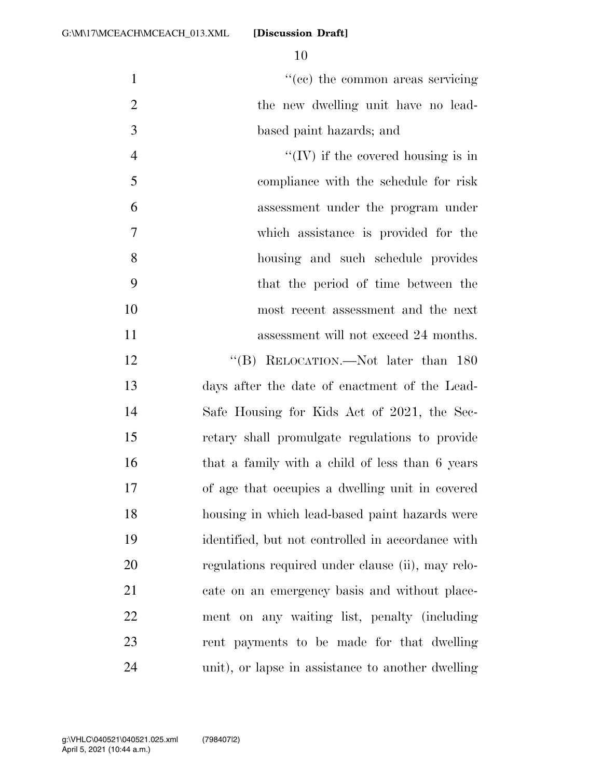$\lq(ec)$  the common areas servicing 2 the new dwelling unit have no lead- based paint hazards; and  $\mathcal{C}(\mathbf{IV})$  if the covered housing is in compliance with the schedule for risk assessment under the program under which assistance is provided for the housing and such schedule provides that the period of time between the most recent assessment and the next 11 assessment will not exceed 24 months. 12 "(B) RELOCATION.—Not later than 180 days after the date of enactment of the Lead- Safe Housing for Kids Act of 2021, the Sec- retary shall promulgate regulations to provide 16 that a family with a child of less than 6 years of age that occupies a dwelling unit in covered

 housing in which lead-based paint hazards were identified, but not controlled in accordance with regulations required under clause (ii), may relo- cate on an emergency basis and without place- ment on any waiting list, penalty (including rent payments to be made for that dwelling unit), or lapse in assistance to another dwelling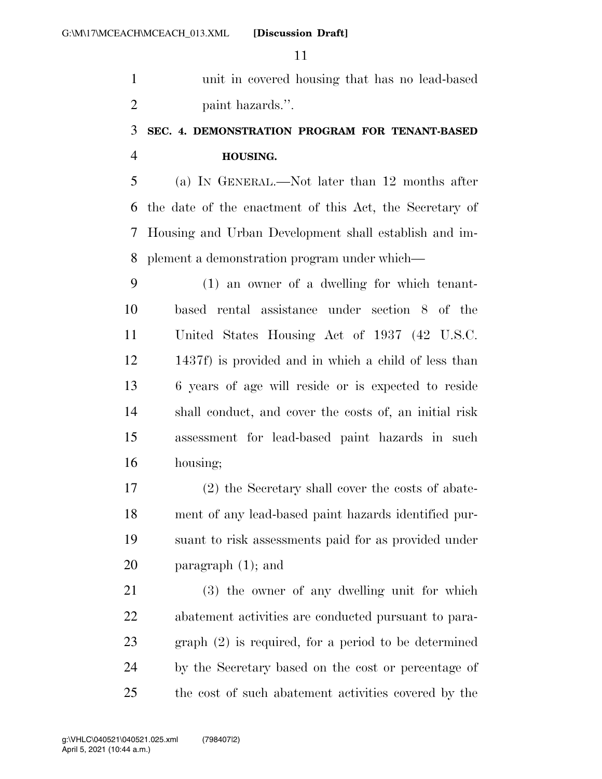unit in covered housing that has no lead-based paint hazards.''.

### **SEC. 4. DEMONSTRATION PROGRAM FOR TENANT-BASED HOUSING.**

 (a) IN GENERAL.—Not later than 12 months after the date of the enactment of this Act, the Secretary of Housing and Urban Development shall establish and im-plement a demonstration program under which—

 (1) an owner of a dwelling for which tenant- based rental assistance under section 8 of the United States Housing Act of 1937 (42 U.S.C. 1437f) is provided and in which a child of less than 6 years of age will reside or is expected to reside shall conduct, and cover the costs of, an initial risk assessment for lead-based paint hazards in such housing;

 (2) the Secretary shall cover the costs of abate- ment of any lead-based paint hazards identified pur- suant to risk assessments paid for as provided under paragraph (1); and

 (3) the owner of any dwelling unit for which abatement activities are conducted pursuant to para- graph (2) is required, for a period to be determined by the Secretary based on the cost or percentage of the cost of such abatement activities covered by the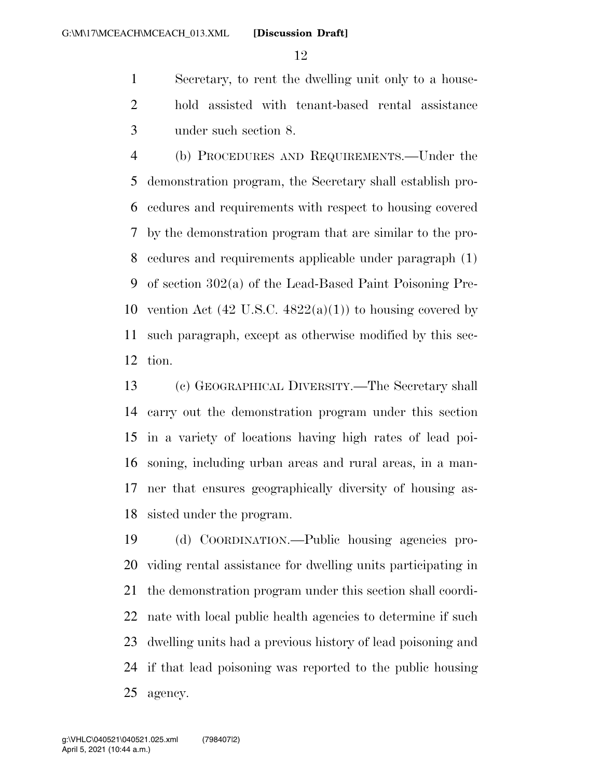Secretary, to rent the dwelling unit only to a house- hold assisted with tenant-based rental assistance under such section 8.

 (b) PROCEDURES AND REQUIREMENTS.—Under the demonstration program, the Secretary shall establish pro- cedures and requirements with respect to housing covered by the demonstration program that are similar to the pro- cedures and requirements applicable under paragraph (1) of section 302(a) of the Lead-Based Paint Poisoning Pre-10 vention Act  $(42 \text{ U.S.C. } 4822(a)(1))$  to housing covered by such paragraph, except as otherwise modified by this sec-tion.

 (c) GEOGRAPHICAL DIVERSITY.—The Secretary shall carry out the demonstration program under this section in a variety of locations having high rates of lead poi- soning, including urban areas and rural areas, in a man- ner that ensures geographically diversity of housing as-sisted under the program.

 (d) COORDINATION.—Public housing agencies pro- viding rental assistance for dwelling units participating in the demonstration program under this section shall coordi- nate with local public health agencies to determine if such dwelling units had a previous history of lead poisoning and if that lead poisoning was reported to the public housing agency.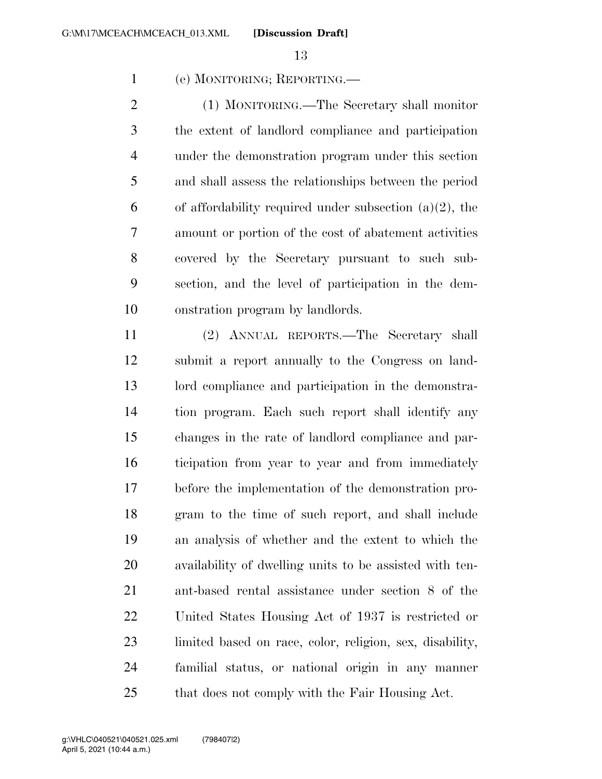(e) MONITORING; REPORTING.—

 (1) MONITORING.—The Secretary shall monitor the extent of landlord compliance and participation under the demonstration program under this section and shall assess the relationships between the period 6 of affordability required under subsection  $(a)(2)$ , the amount or portion of the cost of abatement activities covered by the Secretary pursuant to such sub- section, and the level of participation in the dem-onstration program by landlords.

 (2) ANNUAL REPORTS.—The Secretary shall submit a report annually to the Congress on land- lord compliance and participation in the demonstra- tion program. Each such report shall identify any changes in the rate of landlord compliance and par- ticipation from year to year and from immediately before the implementation of the demonstration pro- gram to the time of such report, and shall include an analysis of whether and the extent to which the availability of dwelling units to be assisted with ten- ant-based rental assistance under section 8 of the United States Housing Act of 1937 is restricted or limited based on race, color, religion, sex, disability, familial status, or national origin in any manner that does not comply with the Fair Housing Act.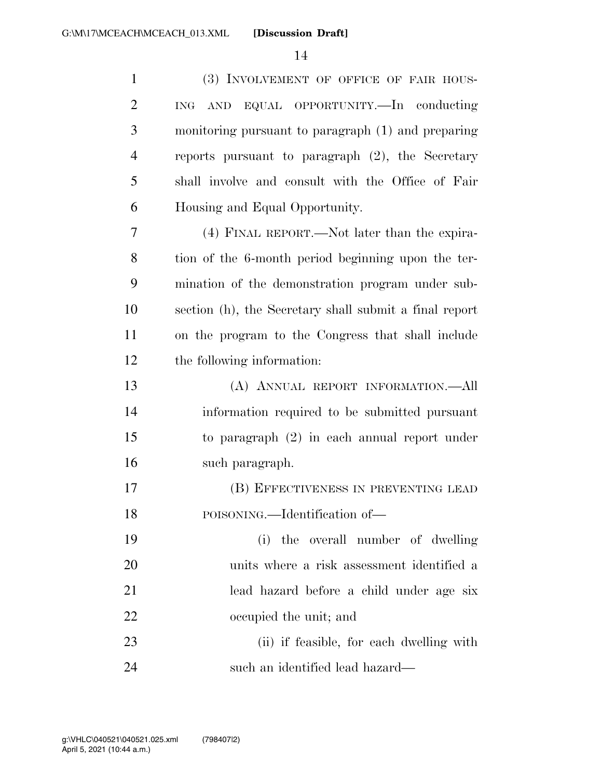| $\mathbf{1}$   | (3) INVOLVEMENT OF OFFICE OF FAIR HOUS-                |
|----------------|--------------------------------------------------------|
| $\overline{2}$ | AND EQUAL OPPORTUNITY.—In conducting<br>ING            |
| 3              | monitoring pursuant to paragraph (1) and preparing     |
| $\overline{4}$ | reports pursuant to paragraph $(2)$ , the Secretary    |
| 5              | shall involve and consult with the Office of Fair      |
| 6              | Housing and Equal Opportunity.                         |
| 7              | (4) FINAL REPORT.—Not later than the expira-           |
| 8              | tion of the 6-month period beginning upon the ter-     |
| 9              | mination of the demonstration program under sub-       |
| 10             | section (h), the Secretary shall submit a final report |
| 11             | on the program to the Congress that shall include      |
| 12             | the following information:                             |
| 13             | (A) ANNUAL REPORT INFORMATION.-All                     |
| 14             | information required to be submitted pursuant          |
| 15             | to paragraph $(2)$ in each annual report under         |
| 16             | such paragraph.                                        |
| 17             | (B) EFFECTIVENESS IN PREVENTING LEAD                   |
| 18             | POISONING.—Identification of—                          |
| 19             | (i) the overall number of dwelling                     |
| 20             | units where a risk assessment identified a             |
| 21             | lead hazard before a child under age six               |
| 22             | occupied the unit; and                                 |
| 23             | (ii) if feasible, for each dwelling with               |
| 24             | such an identified lead hazard—                        |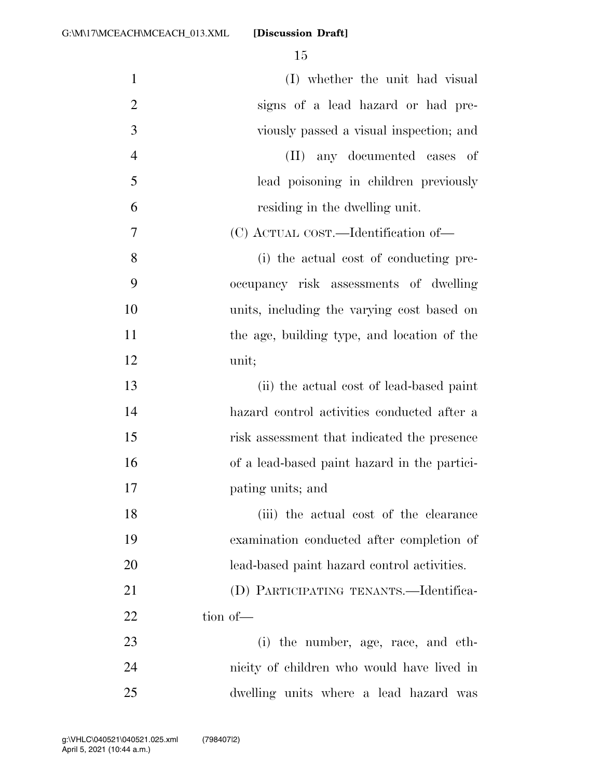| $\mathbf{1}$   | (I) whether the unit had visual              |
|----------------|----------------------------------------------|
| $\overline{2}$ | signs of a lead hazard or had pre-           |
| 3              | viously passed a visual inspection; and      |
| $\overline{4}$ | any documented cases of<br>(II)              |
| 5              | lead poisoning in children previously        |
| 6              | residing in the dwelling unit.               |
| 7              | (C) ACTUAL COST.—Identification of—          |
| 8              | (i) the actual cost of conducting pre-       |
| 9              | occupancy risk assessments of dwelling       |
| 10             | units, including the varying cost based on   |
| 11             | the age, building type, and location of the  |
| 12             | unit;                                        |
| 13             | (ii) the actual cost of lead-based paint     |
| 14             | hazard control activities conducted after a  |
| 15             | risk assessment that indicated the presence  |
| 16             | of a lead-based paint hazard in the partici- |
| 17             | pating units; and                            |
| 18             | (iii) the actual cost of the clearance       |
| 19             | examination conducted after completion of    |
| 20             | lead-based paint hazard control activities.  |
| 21             | (D) PARTICIPATING TENANTS.—Identifica-       |
| 22             | tion of-                                     |
| 23             | (i) the number, age, race, and eth-          |
| 24             | nicity of children who would have lived in   |
| 25             | dwelling units where a lead hazard was       |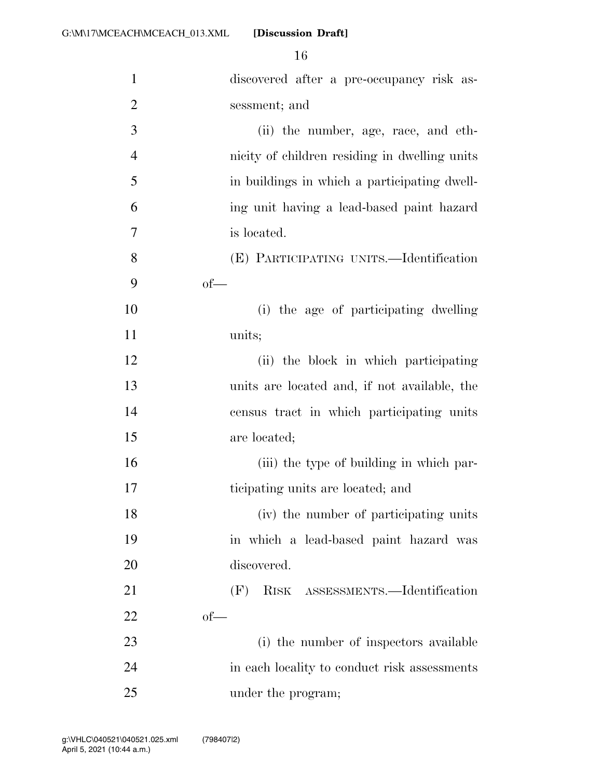| $\mathbf{1}$   | discovered after a pre-occupancy risk as-     |
|----------------|-----------------------------------------------|
| $\overline{2}$ | sessment; and                                 |
| 3              | (ii) the number, age, race, and eth-          |
| $\overline{4}$ | nicity of children residing in dwelling units |
| 5              | in buildings in which a participating dwell-  |
| 6              | ing unit having a lead-based paint hazard     |
| 7              | is located.                                   |
| 8              | (E) PARTICIPATING UNITS.—Identification       |
| 9              | $of$ —                                        |
| 10             | (i) the age of participating dwelling         |
| 11             | units;                                        |
| 12             | (ii) the block in which participating         |
| 13             | units are located and, if not available, the  |
| 14             | census tract in which participating units     |
| 15             | are located;                                  |
| 16             | (iii) the type of building in which par-      |
| 17             | ticipating units are located; and             |
| 18             | (iv) the number of participating units        |
| 19             | in which a lead-based paint hazard was        |
| 20             | discovered.                                   |
| 21             | (F)<br>RISK ASSESSMENTS.—Identification       |
| <u>22</u>      | $of$ —                                        |
| 23             | (i) the number of inspectors available        |
| 24             | in each locality to conduct risk assessments  |
| 25             | under the program;                            |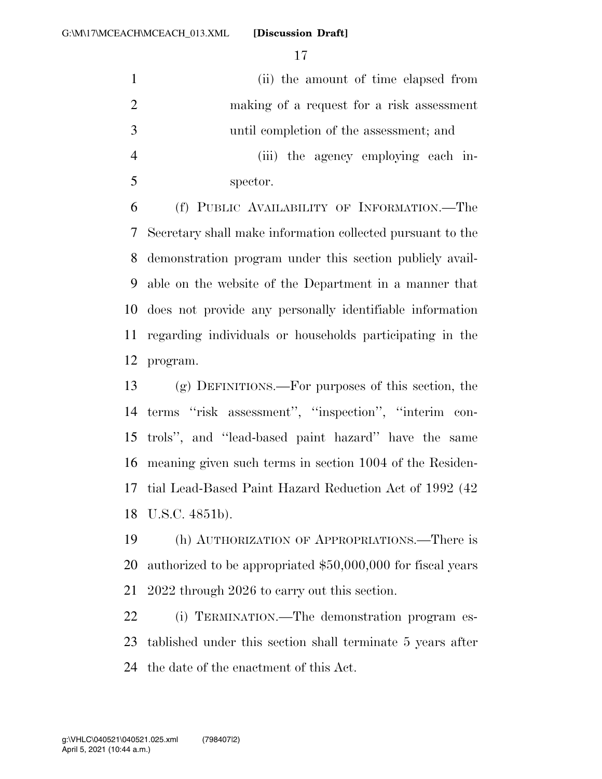(ii) the amount of time elapsed from making of a request for a risk assessment until completion of the assessment; and (iii) the agency employing each in-spector.

 (f) PUBLIC AVAILABILITY OF INFORMATION.—The Secretary shall make information collected pursuant to the demonstration program under this section publicly avail- able on the website of the Department in a manner that does not provide any personally identifiable information regarding individuals or households participating in the program.

 (g) DEFINITIONS.—For purposes of this section, the terms ''risk assessment'', ''inspection'', ''interim con- trols'', and ''lead-based paint hazard'' have the same meaning given such terms in section 1004 of the Residen- tial Lead-Based Paint Hazard Reduction Act of 1992 (42 U.S.C. 4851b).

 (h) AUTHORIZATION OF APPROPRIATIONS.—There is authorized to be appropriated \$50,000,000 for fiscal years 2022 through 2026 to carry out this section.

 (i) TERMINATION.—The demonstration program es- tablished under this section shall terminate 5 years after the date of the enactment of this Act.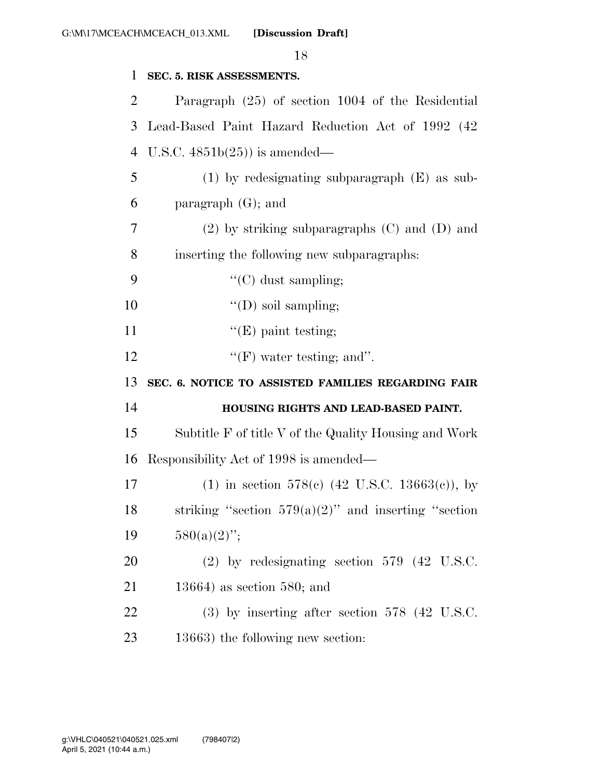| $\mathbf{1}$ | SEC. 5. RISK ASSESSMENTS.                                  |
|--------------|------------------------------------------------------------|
| 2            | Paragraph (25) of section 1004 of the Residential          |
| 3            | Lead-Based Paint Hazard Reduction Act of 1992 (42)         |
| 4            | U.S.C. $4851b(25)$ is amended—                             |
| 5            | $(1)$ by redesignating subparagraph $(E)$ as sub-          |
| 6            | paragraph $(G)$ ; and                                      |
| 7            | $(2)$ by striking subparagraphs $(C)$ and $(D)$ and        |
| 8            | inserting the following new subparagraphs:                 |
| 9            | "(C) dust sampling;                                        |
| 10           | $\lq\lq$ (D) soil sampling;                                |
| 11           | $\lq\lq(E)$ paint testing;                                 |
| 12           | $\lq\lq(F)$ water testing; and".                           |
| 13           | SEC. 6. NOTICE TO ASSISTED FAMILIES REGARDING FAIR         |
|              |                                                            |
| 14           | HOUSING RIGHTS AND LEAD-BASED PAINT.                       |
|              | Subtitle F of title V of the Quality Housing and Work      |
| 16           | Responsibility Act of 1998 is amended—                     |
| 17           | (1) in section 578(c) $(42 \text{ U.S.C. } 13663(c))$ , by |
| 18           | striking "section $579(a)(2)$ " and inserting "section     |
| 15<br>19     | $580(a)(2)$ ";                                             |
| 20           | $(2)$ by redesignating section 579 $(42 \text{ U.S.C.})$   |
| 21           | $13664$ ) as section 580; and                              |
| 22           | $(3)$ by inserting after section 578 $(42 \text{ U.S.C.})$ |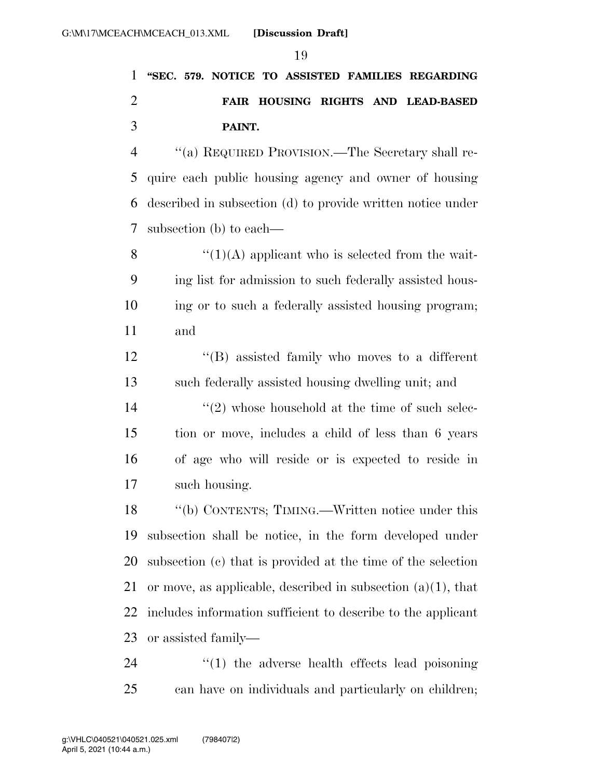## **''SEC. 579. NOTICE TO ASSISTED FAMILIES REGARDING FAIR HOUSING RIGHTS AND LEAD-BASED PAINT.**

 ''(a) REQUIRED PROVISION.—The Secretary shall re- quire each public housing agency and owner of housing described in subsection (d) to provide written notice under subsection (b) to each—

 $\mathcal{C}(1)(A)$  applicant who is selected from the wait- ing list for admission to such federally assisted hous- ing or to such a federally assisted housing program; and

 ''(B) assisted family who moves to a different such federally assisted housing dwelling unit; and

14 ''(2) whose household at the time of such selec- tion or move, includes a child of less than 6 years of age who will reside or is expected to reside in such housing.

 ''(b) CONTENTS; TIMING.—Written notice under this subsection shall be notice, in the form developed under subsection (c) that is provided at the time of the selection 21 or move, as applicable, described in subsection  $(a)(1)$ , that includes information sufficient to describe to the applicant or assisted family—

24  $\frac{1}{2}$  (1) the adverse health effects lead poisoning can have on individuals and particularly on children;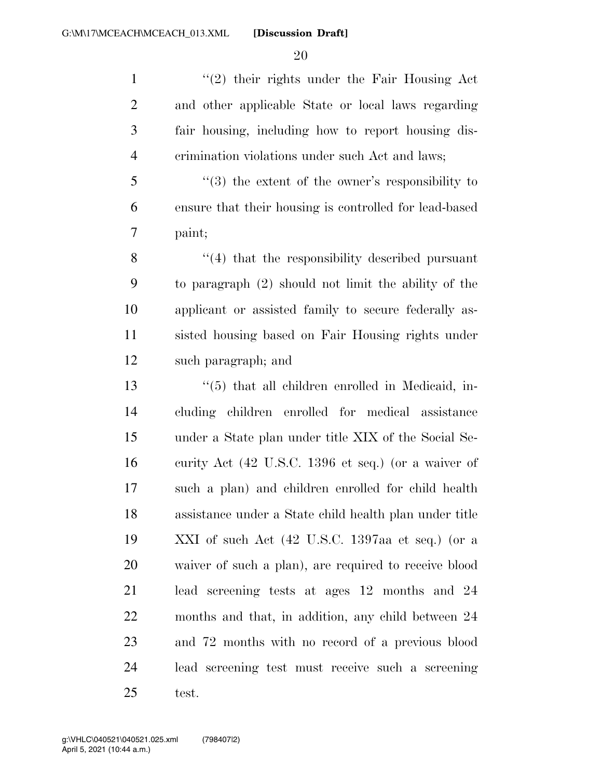$\frac{1}{2}$  their rights under the Fair Housing Act and other applicable State or local laws regarding fair housing, including how to report housing dis-crimination violations under such Act and laws;

 ''(3) the extent of the owner's responsibility to ensure that their housing is controlled for lead-based paint;

8 ''(4) that the responsibility described pursuant to paragraph (2) should not limit the ability of the applicant or assisted family to secure federally as- sisted housing based on Fair Housing rights under such paragraph; and

 ''(5) that all children enrolled in Medicaid, in- cluding children enrolled for medical assistance under a State plan under title XIX of the Social Se- curity Act (42 U.S.C. 1396 et seq.) (or a waiver of such a plan) and children enrolled for child health assistance under a State child health plan under title XXI of such Act (42 U.S.C. 1397aa et seq.) (or a waiver of such a plan), are required to receive blood lead screening tests at ages 12 months and 24 months and that, in addition, any child between 24 and 72 months with no record of a previous blood lead screening test must receive such a screening test.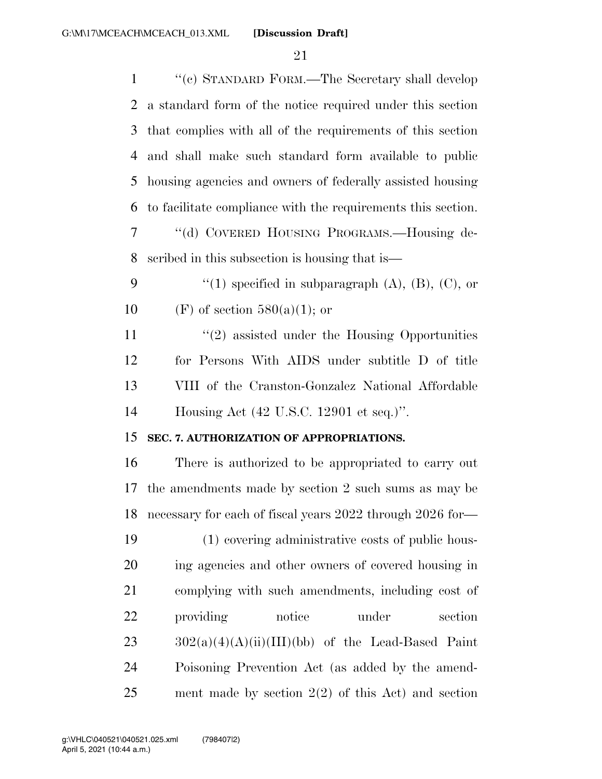| $\mathbf{1}$   | "(c) STANDARD FORM.—The Secretary shall develop              |
|----------------|--------------------------------------------------------------|
| $\overline{2}$ | a standard form of the notice required under this section    |
| 3              | that complies with all of the requirements of this section   |
| 4              | and shall make such standard form available to public        |
| 5              | housing agencies and owners of federally assisted housing    |
| 6              | to facilitate compliance with the requirements this section. |
| 7              | "(d) COVERED HOUSING PROGRAMS.-Housing de-                   |
| 8              | scribed in this subsection is housing that is—               |
| 9              | "(1) specified in subparagraph $(A)$ , $(B)$ , $(C)$ , or    |
| 10             | (F) of section $580(a)(1)$ ; or                              |
| 11             | $\lq(2)$ assisted under the Housing Opportunities            |
| 12             | for Persons With AIDS under subtitle D of title              |
| 13             | VIII of the Cranston-Gonzalez National Affordable            |
| 14             | Housing Act $(42 \text{ U.S.C. } 12901 \text{ et seq.})$ ".  |
| 15             | SEC. 7. AUTHORIZATION OF APPROPRIATIONS.                     |
| 16             | There is authorized to be appropriated to carry out          |
| 17             | the amendments made by section 2 such sums as may be         |
| 18             | necessary for each of fiscal years 2022 through 2026 for-    |
| 19             | (1) covering administrative costs of public hous-            |
| 20             | ing agencies and other owners of covered housing in          |
| 21             | complying with such amendments, including cost of            |
| 22             | notice<br>under<br>providing<br>section                      |
| 23             | $302(a)(4)(A)(ii)(III)(bb)$ of the Lead-Based Paint          |
| 24             | Poisoning Prevention Act (as added by the amend-             |
| 25             | ment made by section $2(2)$ of this Act) and section         |